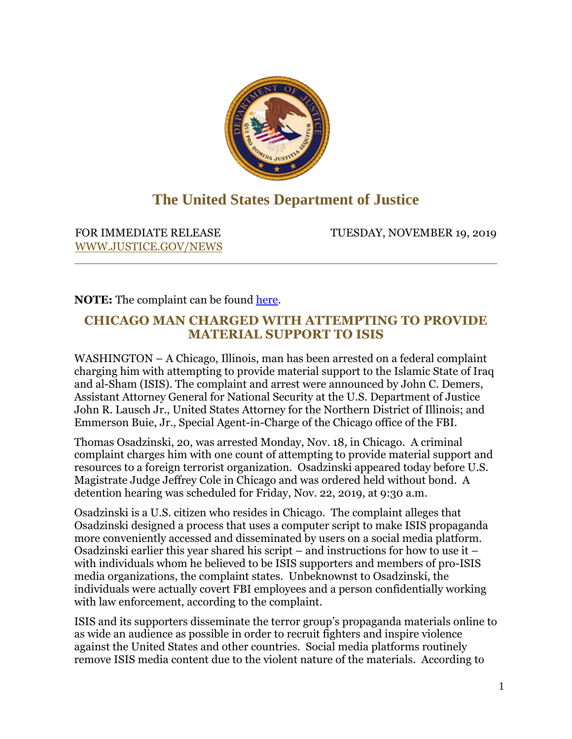

## **The United States Department of Justice**

[WWW.JUSTICE.GOV/NEWS](https://lnks.gd/l/eyJhbGciOiJIUzI1NiJ9.eyJidWxsZXRpbl9saW5rX2lkIjoxMDEsInVyaSI6ImJwMjpjbGljayIsImJ1bGxldGluX2lkIjoiMjAxOTExMTkuMTMxMDgxODEiLCJ1cmwiOiJIVFRQUzovL1dXVy5KVVNUSUNFLkdPVi9ORVdTP3V0bV9tZWRpdW09ZW1haWwmdXRtX3NvdXJjZT1nb3ZkZWxpdmVyeSJ9.RdFsVu5_aaeQ0dUV440hG-soFVvvyP82XvIbIHdBRGU/br/71596541159-l)

FOR IMMEDIATE RELEASE TUESDAY, NOVEMBER 19, 2019

**NOTE:** The complaint can be found [here.](https://lnks.gd/l/eyJhbGciOiJIUzI1NiJ9.eyJidWxsZXRpbl9saW5rX2lkIjoxMDIsInVyaSI6ImJwMjpjbGljayIsImJ1bGxldGluX2lkIjoiMjAxOTExMTkuMTMxMDgxODEiLCJ1cmwiOiJodHRwczovL3d3dy5qdXN0aWNlLmdvdi9vcGEvcHJlc3MtcmVsZWFzZS9maWxlLzEyMTg1NjEvZG93bmxvYWQ_dXRtX21lZGl1bT1lbWFpbCZ1dG1fc291cmNlPWdvdmRlbGl2ZXJ5In0.wvYFXW2xTCEqHobnkj8r8jSNRfy47CWqgyNFrX_Agwg/br/71596541159-l)

## **CHICAGO MAN CHARGED WITH ATTEMPTING TO PROVIDE MATERIAL SUPPORT TO ISIS**

WASHINGTON – A Chicago, Illinois, man has been arrested on a federal complaint charging him with attempting to provide material support to the Islamic State of Iraq and al-Sham (ISIS). The complaint and arrest were announced by John C. Demers, Assistant Attorney General for National Security at the U.S. Department of Justice John R. Lausch Jr., United States Attorney for the Northern District of Illinois; and Emmerson Buie, Jr., Special Agent-in-Charge of the Chicago office of the FBI.

Thomas Osadzinski, 20, was arrested Monday, Nov. 18, in Chicago. A criminal complaint charges him with one count of attempting to provide material support and resources to a foreign terrorist organization. Osadzinski appeared today before U.S. Magistrate Judge Jeffrey Cole in Chicago and was ordered held without bond. A detention hearing was scheduled for Friday, Nov. 22, 2019, at 9:30 a.m.

Osadzinski is a U.S. citizen who resides in Chicago. The complaint alleges that Osadzinski designed a process that uses a computer script to make ISIS propaganda more conveniently accessed and disseminated by users on a social media platform. Osadzinski earlier this year shared his script – and instructions for how to use it – with individuals whom he believed to be ISIS supporters and members of pro-ISIS media organizations, the complaint states. Unbeknownst to Osadzinski, the individuals were actually covert FBI employees and a person confidentially working with law enforcement, according to the complaint.

ISIS and its supporters disseminate the terror group's propaganda materials online to as wide an audience as possible in order to recruit fighters and inspire violence against the United States and other countries. Social media platforms routinely remove ISIS media content due to the violent nature of the materials. According to